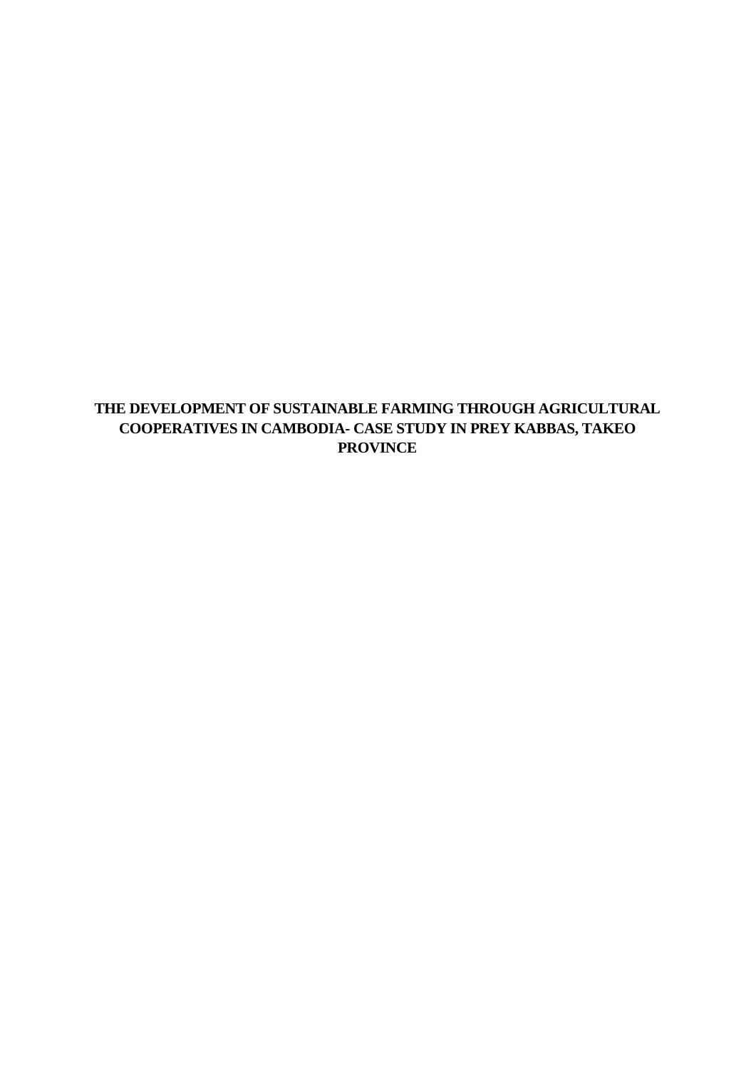# **THE DEVELOPMENT OF SUSTAINABLE FARMING THROUGH AGRICULTURAL COOPERATIVES IN CAMBODIA- CASE STUDY IN PREY KABBAS, TAKEO PROVINCE**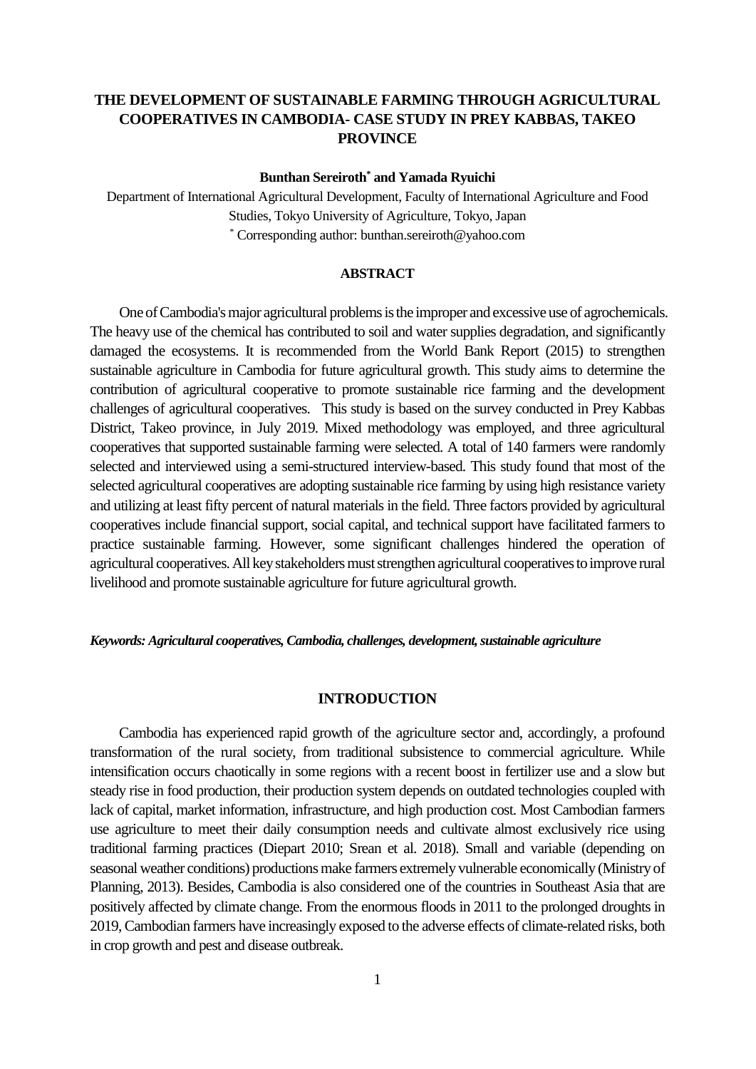# **THE DEVELOPMENT OF SUSTAINABLE FARMING THROUGH AGRICULTURAL COOPERATIVES IN CAMBODIA- CASE STUDY IN PREY KABBAS, TAKEO PROVINCE**

### **Bunthan Sereiroth\* and Yamada Ryuichi**

Department of International Agricultural Development, Faculty of International Agriculture and Food Studies, Tokyo University of Agriculture, Tokyo, Japan \* Corresponding author: bunthan.sereiroth@yahoo.com

### **ABSTRACT**

 One of Cambodia's major agricultural problems is the improper and excessive use of agrochemicals. The heavy use of the chemical has contributed to soil and water supplies degradation, and significantly damaged the ecosystems. It is recommended from the World Bank Report (2015) to strengthen sustainable agriculture in Cambodia for future agricultural growth. This study aims to determine the contribution of agricultural cooperative to promote sustainable rice farming and the development challenges of agricultural cooperatives. This study is based on the survey conducted in Prey Kabbas District, Takeo province, in July 2019. Mixed methodology was employed, and three agricultural cooperatives that supported sustainable farming were selected. A total of 140 farmers were randomly selected and interviewed using a semi-structured interview-based. This study found that most of the selected agricultural cooperatives are adopting sustainable rice farming by using high resistance variety and utilizing at least fifty percent of natural materials in the field. Three factors provided by agricultural cooperatives include financial support, social capital, and technical support have facilitated farmers to practice sustainable farming. However, some significant challenges hindered the operation of agricultural cooperatives. All key stakeholders must strengthen agricultural cooperatives to improve rural livelihood and promote sustainable agriculture for future agricultural growth.

### *Keywords: Agricultural cooperatives, Cambodia, challenges, development, sustainable agriculture*

### **INTRODUCTION**

 Cambodia has experienced rapid growth of the agriculture sector and, accordingly, a profound transformation of the rural society, from traditional subsistence to commercial agriculture. While intensification occurs chaotically in some regions with a recent boost in fertilizer use and a slow but steady rise in food production, their production system depends on outdated technologies coupled with lack of capital, market information, infrastructure, and high production cost. Most Cambodian farmers use agriculture to meet their daily consumption needs and cultivate almost exclusively rice using traditional farming practices (Diepart 2010; Srean et al. 2018). Small and variable (depending on seasonal weather conditions) productions make farmers extremely vulnerable economically (Ministry of Planning, 2013). Besides, Cambodia is also considered one of the countries in Southeast Asia that are positively affected by climate change. From the enormous floods in 2011 to the prolonged droughts in 2019, Cambodian farmers have increasingly exposed to the adverse effects of climate-related risks, both in crop growth and pest and disease outbreak.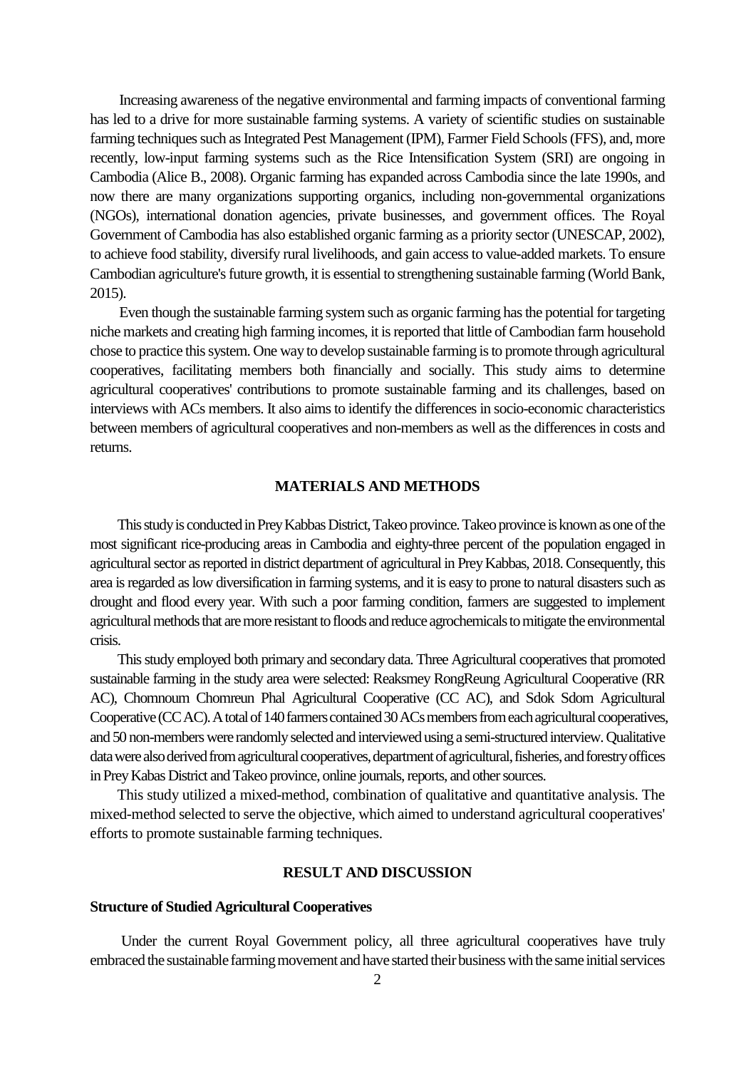Increasing awareness of the negative environmental and farming impacts of conventional farming has led to a drive for more sustainable farming systems. A variety of scientific studies on sustainable farming techniques such as Integrated Pest Management (IPM), Farmer Field Schools (FFS), and, more recently, low-input farming systems such as the Rice Intensification System (SRI) are ongoing in Cambodia (Alice B., 2008). Organic farming has expanded across Cambodia since the late 1990s, and now there are many organizations supporting organics, including non-governmental organizations (NGOs), international donation agencies, private businesses, and government offices. The Royal Government of Cambodia has also established organic farming as a priority sector (UNESCAP, 2002), to achieve food stability, diversify rural livelihoods, and gain access to value-added markets. To ensure Cambodian agriculture's future growth, it is essential to strengthening sustainable farming (World Bank, 2015).

 Even though the sustainable farming system such as organic farming has the potential for targeting niche markets and creating high farming incomes, it is reported that little of Cambodian farm household chose to practice this system. One way to develop sustainable farming is to promote through agricultural cooperatives, facilitating members both financially and socially. This study aims to determine agricultural cooperatives' contributions to promote sustainable farming and its challenges, based on interviews with ACs members. It also aims to identify the differences in socio-economic characteristics between members of agricultural cooperatives and non-members as well as the differences in costs and returns.

# **MATERIALS AND METHODS**

 This study is conducted in Prey Kabbas District, Takeo province. Takeo province is known as one of the most significant rice-producing areas in Cambodia and eighty-three percent of the population engaged in agricultural sector as reported in district department of agricultural in Prey Kabbas, 2018. Consequently, this area is regarded as low diversification in farming systems, and it is easy to prone to natural disasters such as drought and flood every year. With such a poor farming condition, farmers are suggested to implement agricultural methods that are more resistant to floods and reduce agrochemicals to mitigate the environmental crisis.

 This study employed both primary and secondary data. Three Agricultural cooperatives that promoted sustainable farming in the study area were selected: Reaksmey RongReung Agricultural Cooperative (RR AC), Chomnoum Chomreun Phal Agricultural Cooperative (CC AC), and Sdok Sdom Agricultural Cooperative (CC AC). A total of 140 farmers contained 30 ACs members from each agricultural cooperatives, and 50 non-members were randomly selected and interviewed using a semi-structured interview. Qualitative data were also derived from agricultural cooperatives, department of agricultural, fisheries, and forestry offices in Prey Kabas District and Takeo province, online journals, reports, and other sources.

 This study utilized a mixed-method, combination of qualitative and quantitative analysis. The mixed-method selected to serve the objective, which aimed to understand agricultural cooperatives' efforts to promote sustainable farming techniques.

# **RESULT AND DISCUSSION**

# **Structure of Studied Agricultural Cooperatives**

Under the current Royal Government policy, all three agricultural cooperatives have truly embraced the sustainable farming movement and have started their business with the same initial services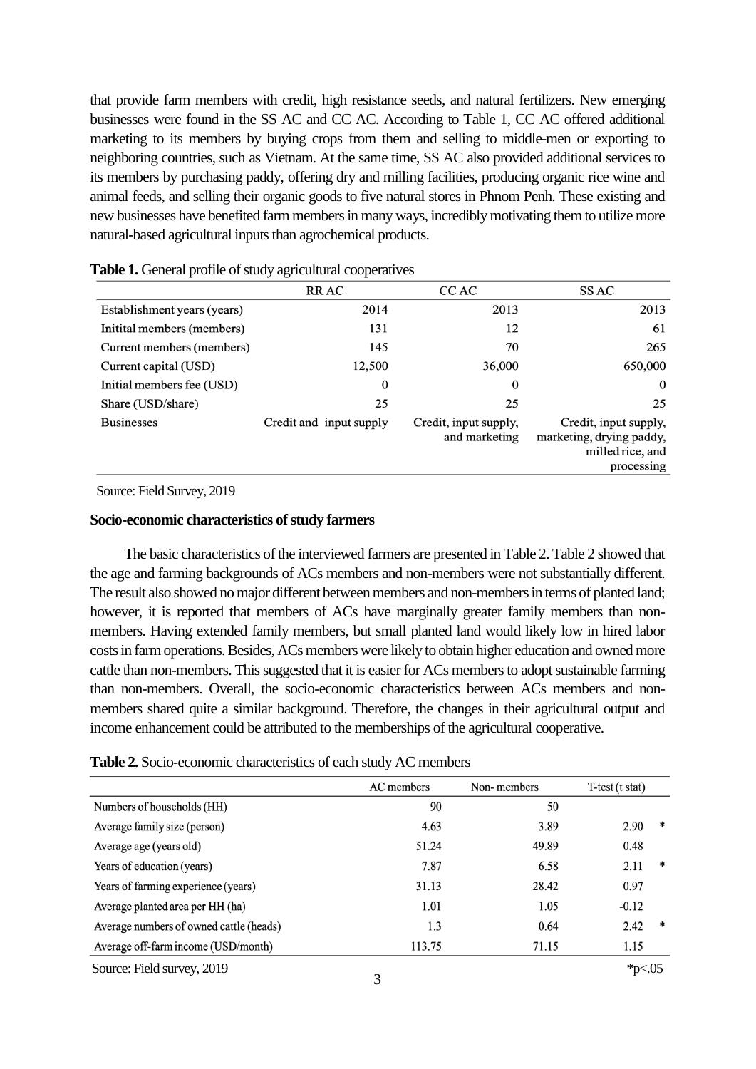that provide farm members with credit, high resistance seeds, and natural fertilizers. New emerging businesses were found in the SS AC and CC AC. According to Table 1, CC AC offered additional marketing to its members by buying crops from them and selling to middle-men or exporting to neighboring countries, such as Vietnam. At the same time, SS AC also provided additional services to its members by purchasing paddy, offering dry and milling facilities, producing organic rice wine and animal feeds, and selling their organic goods to five natural stores in Phnom Penh. These existing and new businesses have benefited farm membersin many ways, incredibly motivating them to utilize more natural-based agricultural inputs than agrochemical products.

|                             | <b>RRAC</b>             | CC AC                                  | SS AC                                                                               |
|-----------------------------|-------------------------|----------------------------------------|-------------------------------------------------------------------------------------|
| Establishment years (years) | 2014                    | 2013                                   | 2013                                                                                |
| Initital members (members)  | 131                     | 12                                     | 61                                                                                  |
| Current members (members)   | 145                     | 70                                     | 265                                                                                 |
| Current capital (USD)       | 12,500                  | 36,000                                 | 650,000                                                                             |
| Initial members fee (USD)   | $\bf{0}$                | $\bf{0}$                               | $\bf{0}$                                                                            |
| Share (USD/share)           | 25                      | 25                                     | 25                                                                                  |
| <b>Businesses</b>           | Credit and input supply | Credit, input supply,<br>and marketing | Credit, input supply,<br>marketing, drying paddy,<br>milled rice, and<br>processing |

| Table 1. General profile of study agricultural cooperatives |  |  |  |  |
|-------------------------------------------------------------|--|--|--|--|
|-------------------------------------------------------------|--|--|--|--|

Source: Field Survey, 2019

# **Socio-economic characteristics of study farmers**

 The basic characteristics of the interviewed farmers are presented in Table 2. Table 2 showed that the age and farming backgrounds of ACs members and non-members were not substantially different. The result also showed no major different between members and non-members in terms of planted land; however, it is reported that members of ACs have marginally greater family members than nonmembers. Having extended family members, but small planted land would likely low in hired labor costs in farm operations. Besides, ACs members were likely to obtain higher education and owned more cattle than non-members. This suggested that it is easier for ACs members to adopt sustainable farming than non-members. Overall, the socio-economic characteristics between ACs members and nonmembers shared quite a similar background. Therefore, the changes in their agricultural output and income enhancement could be attributed to the memberships of the agricultural cooperative.

| Table 2. Socio-economic characteristics of each study AC members |  |  |
|------------------------------------------------------------------|--|--|
|------------------------------------------------------------------|--|--|

|                                         | AC members | Non-members | $T-test(t stat)$ |   |
|-----------------------------------------|------------|-------------|------------------|---|
| Numbers of households (HH)              | 90         | 50          |                  |   |
| Average family size (person)            | 4.63       | 3.89        | 2.90             | * |
| Average age (years old)                 | 51.24      | 49.89       | 0.48             |   |
| Years of education (years)              | 7.87       | 6.58        | 2.11             | ∗ |
| Years of farming experience (years)     | 31.13      | 28.42       | 0.97             |   |
| Average planted area per HH (ha)        | 1.01       | 1.05        | $-0.12$          |   |
| Average numbers of owned cattle (heads) | 1.3        | 0.64        | 2.42             | ∗ |
| Average off-farm income (USD/month)     | 113.75     | 71.15       | 1.15             |   |
| Source: Field survey, 2019              |            |             | * $pc.05$        |   |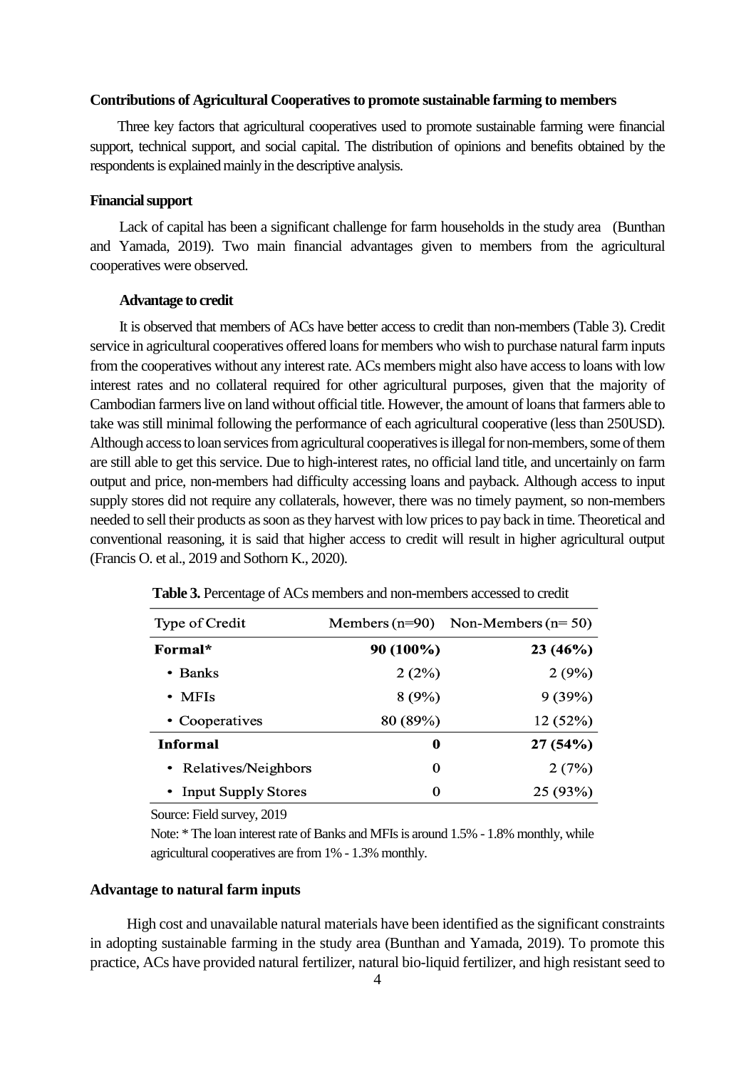# Contributions of Agricultural Cooperatives to promote sustainable farming to members

 Three key factors that agricultural cooperatives used to promote sustainable farming were financial support, technical support, and social capital. The distribution of opinions and benefits obtained by the respondents is explained mainly in the descriptive analysis.

# **Financial support**

 Lack of capital has been a significant challenge for farm households in the study area (Bunthan and Yamada, 2019). Two main financial advantages given to members from the agricultural cooperatives were observed.

# **Advantage to credit**

 It is observed that members of ACs have better access to credit than non-members (Table 3). Credit service in agricultural cooperatives offered loans for members who wish to purchase natural farm inputs from the cooperatives without any interest rate. ACs members might also have access to loans with low interest rates and no collateral required for other agricultural purposes, given that the majority of Cambodian farmers live on land without official title. However, the amount of loansthat farmers able to take was still minimal following the performance of each agricultural cooperative (less than 250USD). Although access to loan services from agricultural cooperatives is illegal for non-members, some of them are still able to get this service. Due to high-interest rates, no official land title, and uncertainly on farm output and price, non-members had difficulty accessing loans and payback. Although access to input supply stores did not require any collaterals, however, there was no timely payment, so non-members needed to sell their products as soon as they harvest with low prices to pay back in time. Theoretical and conventional reasoning, it is said that higher access to credit will result in higher agricultural output (Francis O. et al., 2019 and Sothorn K., 2020).

| Type of Credit        |           | Members $(n=90)$ Non-Members $(n=50)$ |
|-----------------------|-----------|---------------------------------------|
| Formal*               | 90 (100%) | 23(46%)                               |
| $\bullet$ Banks       | 2(2%)     | 2(9%)                                 |
| $\bullet$ MFIs        | 8(9%)     | 9(39%)                                |
| • Cooperatives        | 80 (89%)  | 12 (52%)                              |
| Informal              | 0         | 27(54%)                               |
| • Relatives/Neighbors | 0         | 2(7%)                                 |
| • Input Supply Stores | 0         | 25 (93%)                              |

 **Table 3.** Percentage of ACs members and non-members accessed to credit

Source: Field survey, 2019

Note: \* The loan interest rate of Banks and MFIs is around 1.5% - 1.8% monthly, while agricultural cooperatives are from 1% - 1.3% monthly.

# **Advantage to natural farm inputs**

 High cost and unavailable natural materials have been identified as the significant constraints in adopting sustainable farming in the study area (Bunthan and Yamada, 2019). To promote this practice, ACs have provided natural fertilizer, natural bio-liquid fertilizer, and high resistant seed to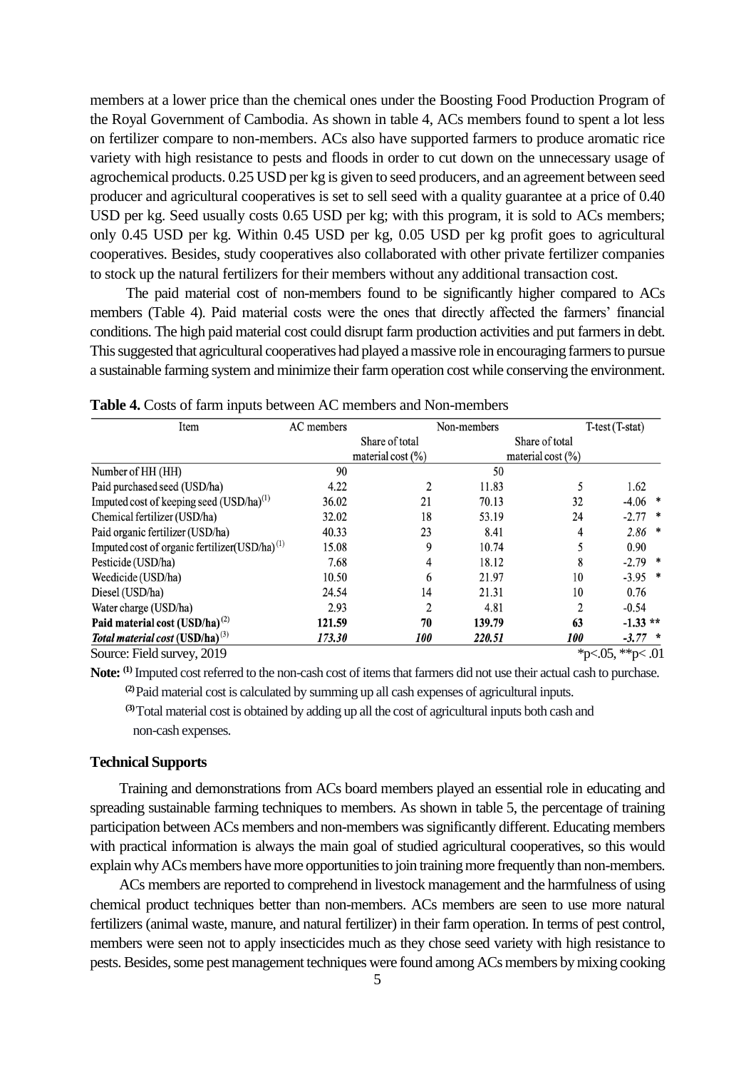members at a lower price than the chemical ones under the Boosting Food Production Program of the Royal Government of Cambodia. As shown in table 4, ACs members found to spent a lot less on fertilizer compare to non-members. ACs also have supported farmers to produce aromatic rice variety with high resistance to pests and floods in order to cut down on the unnecessary usage of agrochemical products. 0.25 USD per kg is given to seed producers, and an agreement between seed producer and agricultural cooperatives is set to sell seed with a quality guarantee at a price of 0.40 USD per kg. Seed usually costs 0.65 USD per kg; with this program, it is sold to ACs members; only 0.45 USD per kg. Within 0.45 USD per kg, 0.05 USD per kg profit goes to agricultural cooperatives. Besides, study cooperatives also collaborated with other private fertilizer companies to stock up the natural fertilizers for their members without any additional transaction cost.

The paid material cost of non-members found to be significantly higher compared to ACs members (Table 4). Paid material costs were the ones that directly affected the farmers' financial conditions. The high paid material cost could disrupt farm production activities and put farmers in debt. This suggested that agricultural cooperatives had played a massive role in encouraging farmers to pursue a sustainable farming system and minimize their farm operation cost while conserving the environment.

| Item                                                      | AC members |                                         | Non-members |                                         | T-test (T-stat)     |  |
|-----------------------------------------------------------|------------|-----------------------------------------|-------------|-----------------------------------------|---------------------|--|
|                                                           |            | Share of total<br>material cost $(\% )$ |             | Share of total<br>material cost $(\% )$ |                     |  |
| Number of HH (HH)                                         | 90         |                                         | 50          |                                         |                     |  |
| Paid purchased seed (USD/ha)                              | 4.22       |                                         | 11.83       | 5                                       | 1.62                |  |
| Imputed cost of keeping seed (USD/ha) <sup>(1)</sup>      | 36.02      | 21                                      | 70.13       | 32                                      | $-4.06$ *           |  |
| Chemical fertilizer (USD/ha)                              | 32.02      | 18                                      | 53.19       | 24                                      | $-2.77$ *           |  |
| Paid organic fertilizer (USD/ha)                          | 40.33      | 23                                      | 8.41        | 4                                       | $2.86$ *            |  |
| Imputed cost of organic fertilizer(USD/ha) <sup>(1)</sup> | 15.08      | 9                                       | 10.74       |                                         | 0.90                |  |
| Pesticide (USD/ha)                                        | 7.68       | 4                                       | 18.12       | 8                                       | $-2.79$ *           |  |
| Weedicide (USD/ha)                                        | 10.50      | 6                                       | 21.97       | 10                                      | $-3.95$ *           |  |
| Diesel (USD/ha)                                           | 24.54      | 14                                      | 21.31       | 10                                      | 0.76                |  |
| Water charge (USD/ha)                                     | 2.93       | 2                                       | 4.81        | $\overline{2}$                          | $-0.54$             |  |
| Paid material cost $(USD/ha)^{(2)}$                       | 121.59     | 70                                      | 139.79      | 63                                      | $-1.33**$           |  |
| Total material cost $(USD/ha)^{(3)}$                      | 173.30     | <i>100</i>                              | 220.51      | <i>100</i>                              | $-3.77$ *           |  |
| Source: Field survey, 2019                                |            |                                         |             |                                         | *p<.05, **p $<$ .01 |  |

**Table 4.** Costs of farm inputs between AC members and Non-members

Note: <sup>(1)</sup> Imputed cost referred to the non-cash cost of items that farmers did not use their actual cash to purchase.

**(2)**Paid material cost is calculated by summing up all cash expenses of agricultural inputs.

 **(3)**Total material cost is obtained by adding up all the cost of agricultural inputs both cash and non-cash expenses.

### **Technical Supports**

 Training and demonstrations from ACs board members played an essential role in educating and spreading sustainable farming techniques to members. As shown in table 5, the percentage of training participation between ACs members and non-members was significantly different. Educating members with practical information is always the main goal of studied agricultural cooperatives, so this would explain why ACs members have more opportunities to join training more frequently than non-members.

 ACs members are reported to comprehend in livestock management and the harmfulness of using chemical product techniques better than non-members. ACs members are seen to use more natural fertilizers (animal waste, manure, and natural fertilizer) in their farm operation. In terms of pest control, members were seen not to apply insecticides much as they chose seed variety with high resistance to pests. Besides, some pest management techniques were found among ACs members by mixing cooking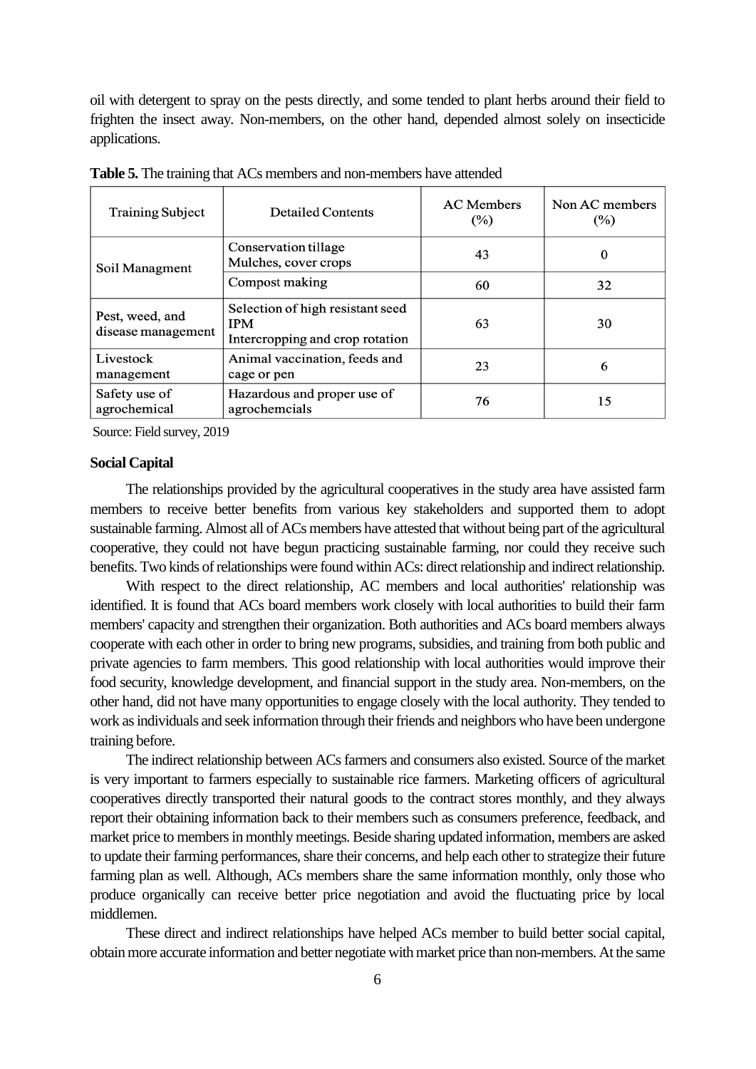oil with detergent to spray on the pests directly, and some tended to plant herbs around their field to frighten the insect away. Non-members, on the other hand, depended almost solely on insecticide applications.

| <b>Training Subject</b>               | <b>Detailed Contents</b>                                                          | <b>AC</b> Members<br>$(\%)$ | Non AC members<br>$(\%)$ |
|---------------------------------------|-----------------------------------------------------------------------------------|-----------------------------|--------------------------|
| Soil Managment                        | Conservation tillage<br>Mulches, cover crops                                      | 43                          | $\Omega$                 |
|                                       | Compost making                                                                    | 60                          | 32                       |
| Pest, weed, and<br>disease management | Selection of high resistant seed<br><b>IPM</b><br>Intercropping and crop rotation | 63                          | 30                       |
| Livestock<br>management               | Animal vaccination, feeds and<br>cage or pen                                      | 23                          | 6                        |
| Safety use of<br>agrochemical         | Hazardous and proper use of<br>agrochemcials                                      | 76                          | 15                       |

**Table 5.** The training that ACs members and non-members have attended

Source: Field survey, 2019

#### **Social Capital**  $\ddot{\phantom{0}}$  . .

The relationships provided by the agricultural cooperatives in the study area have assisted farm members to receive better benefits from various key stakeholders and supported them to adopt sustainable farming. Almost all of ACs members have attested that without being part of the agricultural cooperative, they could not have begun practicing sustainable farming, nor could they receive such benefits. Two kinds of relationships were found within ACs: direct relationship and indirect relationship.

With respect to the direct relationship, AC members and local authorities' relationship was identified. It is found that ACs board members work closely with local authorities to build their farm members' capacity and strengthen their organization. Both authorities and ACs board members always cooperate with each other in order to bring new programs, subsidies, and training from both public and private agencies to farm members. This good relationship with local authorities would improve their food security, knowledge development, and financial support in the study area. Non-members, on the other hand, did not have many opportunities to engage closely with the local authority. They tended to work as individuals and seek information through their friends and neighbors who have been undergone training before.

The indirect relationship between ACs farmers and consumers also existed. Source of the market is very important to farmers especially to sustainable rice farmers. Marketing officers of agricultural cooperatives directly transported their natural goods to the contract stores monthly, and they always report their obtaining information back to their members such as consumers preference, feedback, and market price to members in monthly meetings. Beside sharing updated information, members are asked to update their farming performances, share their concerns, and help each other to strategize their future farming plan as well. Although, ACs members share the same information monthly, only those who produce organically can receive better price negotiation and avoid the fluctuating price by local middlemen.

These direct and indirect relationships have helped ACs member to build better social capital, obtain more accurate information and better negotiate with market price than non-members. At the same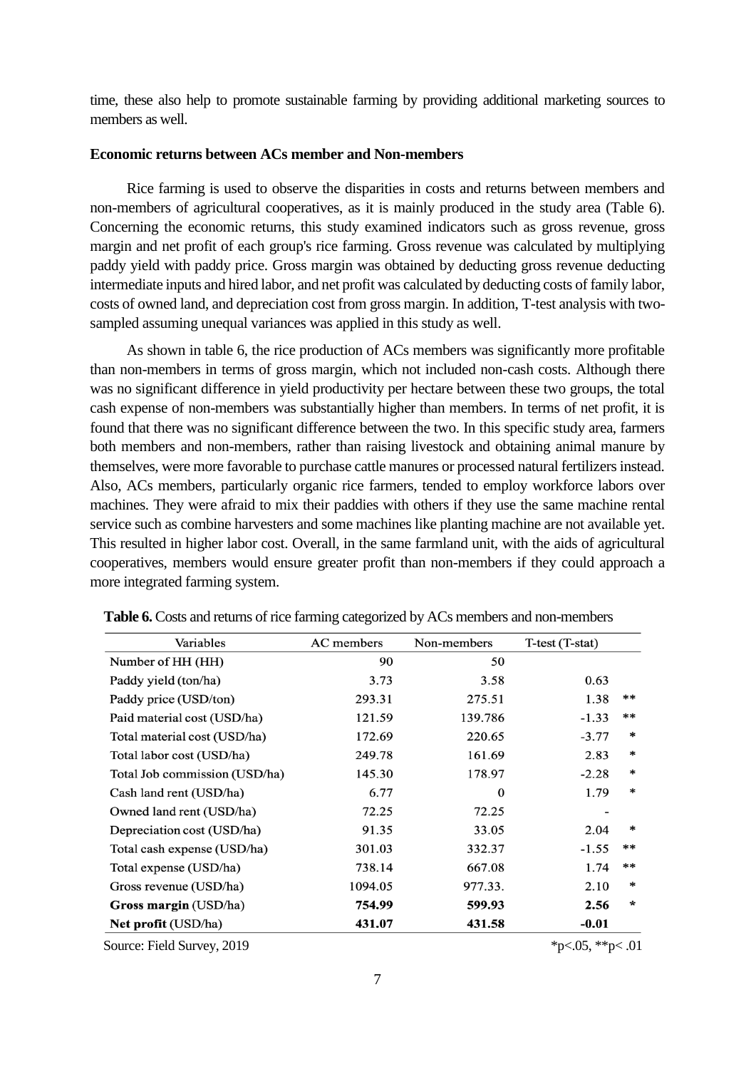time, these also help to promote sustainable farming by providing additional marketing sources to members as well

### **Economic returns between ACs member and Non-members**

 Rice farming is used to observe the disparities in costs and returns between members and non-members of agricultural cooperatives, as it is mainly produced in the study area (Table 6). Concerning the economic returns, this study examined indicators such as gross revenue, gross margin and net profit of each group's rice farming. Gross revenue was calculated by multiplying paddy yield with paddy price. Gross margin was obtained by deducting gross revenue deducting intermediate inputs and hired labor, and net profit was calculated by deducting costs of family labor, costs of owned land, and depreciation cost from gross margin. In addition, T-test analysis with twosampled assuming unequal variances was applied in this study as well.

 As shown in table 6, the rice production of ACs members was significantly more profitable than non-members in terms of gross margin, which not included non-cash costs. Although there was no significant difference in yield productivity per hectare between these two groups, the total cash expense of non-members was substantially higher than members. In terms of net profit, it is found that there was no significant difference between the two. In this specific study area, farmers both members and non-members, rather than raising livestock and obtaining animal manure by themselves, were more favorable to purchase cattle manures or processed natural fertilizers instead. Also, ACs members, particularly organic rice farmers, tended to employ workforce labors over machines. They were afraid to mix their paddies with others if they use the same machine rental service such as combine harvesters and some machines like planting machine are not available yet. This resulted in higher labor cost. Overall, in the same farmland unit, with the aids of agricultural cooperatives, members would ensure greater profit than non-members if they could approach a more integrated farming system.

| Variables                     | AC members | Non-members | T-test (T-stat) |        |
|-------------------------------|------------|-------------|-----------------|--------|
| Number of HH (HH)             | 90         | 50          |                 |        |
| Paddy yield (ton/ha)          | 3.73       | 3.58        | 0.63            |        |
| Paddy price (USD/ton)         | 293.31     | 275.51      | 1.38            | **     |
| Paid material cost (USD/ha)   | 121.59     | 139.786     | $-1.33$         | $***$  |
| Total material cost (USD/ha)  | 172.69     | 220.65      | $-3.77$         | $\ast$ |
| Total labor cost (USD/ha)     | 249.78     | 161.69      | 2.83            | $\ast$ |
| Total Job commission (USD/ha) | 145.30     | 178.97      | $-2.28$         | $\ast$ |
| Cash land rent (USD/ha)       | 6.77       | 0           | 1.79            | $\ast$ |
| Owned land rent (USD/ha)      | 72.25      | 72.25       |                 |        |
| Depreciation cost (USD/ha)    | 91.35      | 33.05       | 2.04            | $\ast$ |
| Total cash expense (USD/ha)   | 301.03     | 332.37      | $-1.55$         | $**$   |
| Total expense (USD/ha)        | 738.14     | 667.08      | 1.74            | $**$   |
| Gross revenue (USD/ha)        | 1094.05    | 977.33.     | 2.10            | $\ast$ |
| Gross margin (USD/ha)         | 754.99     | 599.93      | 2.56            | $\ast$ |
| <b>Net profit (USD/ha)</b>    | 431.07     | 431.58      | $-0.01$         |        |

 **Table 6.** Costs and returns of rice farming categorized by ACs members and non-members

Source: Field Survey, 2019  $p \leq 0.05$ ,  $\frac{1}{2}p \leq 0.05$ ,  $\frac{1}{2}p \leq 0.01$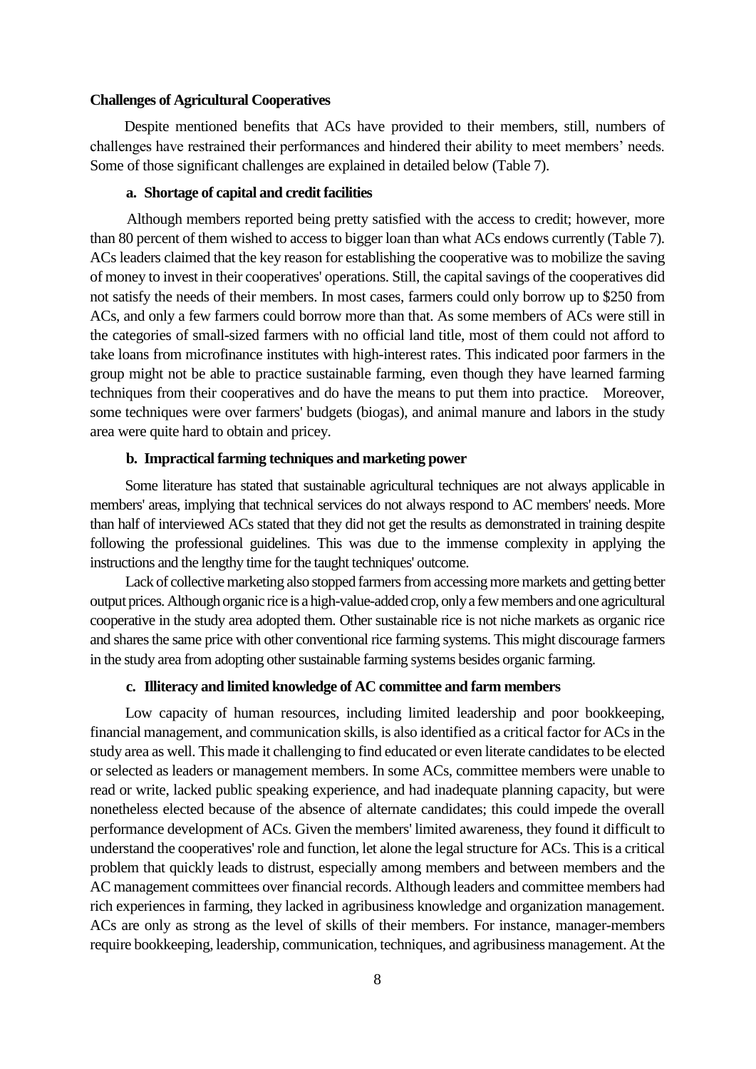# **Challenges of Agricultural Cooperatives**

Despite mentioned benefits that ACs have provided to their members, still, numbers of challenges have restrained their performances and hindered their ability to meet members' needs. Some of those significant challenges are explained in detailed below (Table 7).

# **a. Shortage of capital and credit facilities**

 Although members reported being pretty satisfied with the access to credit; however, more than 80 percent of them wished to access to bigger loan than what ACs endows currently (Table 7). ACs leaders claimed that the key reason for establishing the cooperative was to mobilize the saving of money to invest in their cooperatives' operations. Still, the capital savings of the cooperatives did not satisfy the needs of their members. In most cases, farmers could only borrow up to \$250 from ACs, and only a few farmers could borrow more than that. As some members of ACs were still in the categories of small-sized farmers with no official land title, most of them could not afford to take loans from microfinance institutes with high-interest rates. This indicated poor farmers in the group might not be able to practice sustainable farming, even though they have learned farming techniques from their cooperatives and do have the means to put them into practice. Moreover, some techniques were over farmers' budgets (biogas), and animal manure and labors in the study area were quite hard to obtain and pricey.

# **b. Impractical farming techniques and marketing power**

 Some literature has stated that sustainable agricultural techniques are not always applicable in members' areas, implying that technical services do not always respond to AC members' needs. More than half of interviewed ACs stated that they did not get the results as demonstrated in training despite following the professional guidelines. This was due to the immense complexity in applying the instructions and the lengthy time for the taught techniques' outcome.

 Lack of collective marketing also stopped farmers from accessing more markets and getting better output prices. Although organic rice is a high-value-added crop, only a few members and one agricultural cooperative in the study area adopted them. Other sustainable rice is not niche markets as organic rice and shares the same price with other conventional rice farming systems. This might discourage farmers in the study area from adopting other sustainable farming systems besides organic farming.

# **c. Illiteracy and limited knowledge of AC committee and farm members**

 Low capacity of human resources, including limited leadership and poor bookkeeping, financial management, and communication skills, is also identified as a critical factor for ACs in the study area as well. This made it challenging to find educated or even literate candidates to be elected or selected as leaders or management members. In some ACs, committee members were unable to read or write, lacked public speaking experience, and had inadequate planning capacity, but were nonetheless elected because of the absence of alternate candidates; this could impede the overall performance development of ACs. Given the members' limited awareness, they found it difficult to understand the cooperatives' role and function, let alone the legal structure for ACs. This is a critical problem that quickly leads to distrust, especially among members and between members and the AC management committees over financial records. Although leaders and committee members had rich experiences in farming, they lacked in agribusiness knowledge and organization management. ACs are only as strong as the level of skills of their members. For instance, manager-members require bookkeeping, leadership, communication, techniques, and agribusiness management. At the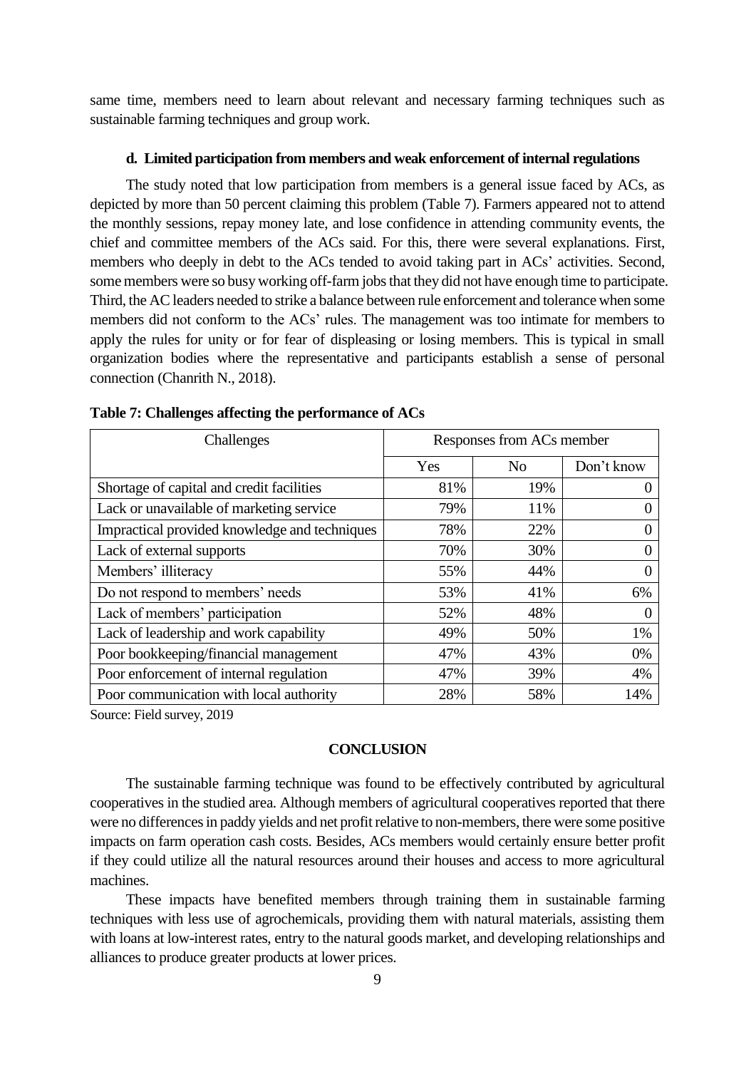same time, members need to learn about relevant and necessary farming techniques such as sustainable farming techniques and group work.

## **d. Limited participation from members and weak enforcement of internal regulations**

The study noted that low participation from members is a general issue faced by ACs, as depicted by more than 50 percent claiming this problem (Table 7). Farmers appeared not to attend the monthly sessions, repay money late, and lose confidence in attending community events, the chief and committee members of the ACs said. For this, there were several explanations. First, members who deeply in debt to the ACs tended to avoid taking part in ACs' activities. Second, some members were so busy working off-farm jobs that they did not have enough time to participate. Third, the AC leaders needed to strike a balance between rule enforcement and tolerance when some members did not conform to the ACs' rules. The management was too intimate for members to apply the rules for unity or for fear of displeasing or losing members. This is typical in small organization bodies where the representative and participants establish a sense of personal connection (Chanrith N., 2018).

| Challenges                                    | Responses from ACs member |                |            |
|-----------------------------------------------|---------------------------|----------------|------------|
|                                               | Yes                       | N <sub>o</sub> | Don't know |
| Shortage of capital and credit facilities     | 81%                       | 19%            |            |
| Lack or unavailable of marketing service      | 79%                       | 11%            |            |
| Impractical provided knowledge and techniques | 78%                       | 22%            |            |
| Lack of external supports                     | 70%                       | 30%            |            |
| Members' illiteracy                           | 55%                       | 44%            |            |
| Do not respond to members' needs              | 53%                       | 41%            | 6%         |
| Lack of members' participation                | 52%                       | 48%            |            |
| Lack of leadership and work capability        | 49%                       | 50%            | 1%         |
| Poor bookkeeping/financial management         | 47%                       | 43%            | 0%         |
| Poor enforcement of internal regulation       | 47%                       | 39%            | 4%         |
| Poor communication with local authority       | 28%                       | 58%            | 14%        |

|  |  |  | Table 7: Challenges affecting the performance of ACs |  |
|--|--|--|------------------------------------------------------|--|
|--|--|--|------------------------------------------------------|--|

Source: Field survey, 2019

### **CONCLUSION**

The sustainable farming technique was found to be effectively contributed by agricultural cooperatives in the studied area. Although members of agricultural cooperatives reported that there were no differences in paddy yields and net profit relative to non-members, there were some positive impacts on farm operation cash costs. Besides, ACs members would certainly ensure better profit if they could utilize all the natural resources around their houses and access to more agricultural machines.

These impacts have benefited members through training them in sustainable farming techniques with less use of agrochemicals, providing them with natural materials, assisting them with loans at low-interest rates, entry to the natural goods market, and developing relationships and alliances to produce greater products at lower prices.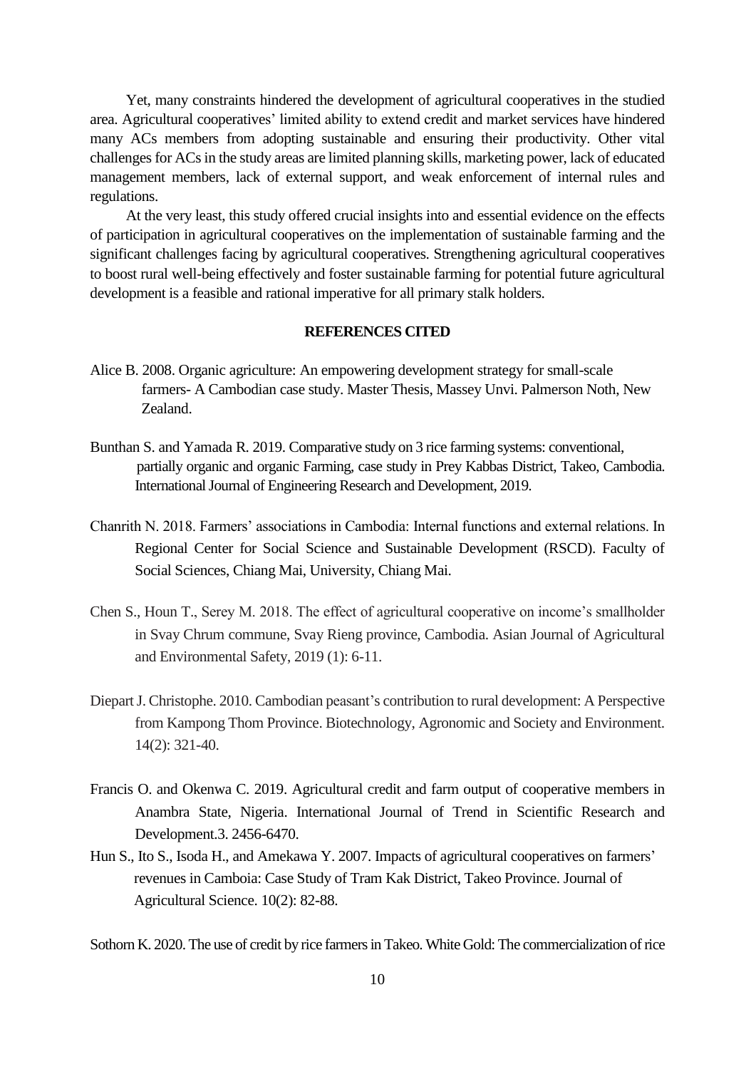Yet, many constraints hindered the development of agricultural cooperatives in the studied area. Agricultural cooperatives' limited ability to extend credit and market services have hindered many ACs members from adopting sustainable and ensuring their productivity. Other vital challenges for ACs in the study areas are limited planning skills, marketing power, lack of educated management members, lack of external support, and weak enforcement of internal rules and regulations.

At the very least, this study offered crucial insights into and essential evidence on the effects of participation in agricultural cooperatives on the implementation of sustainable farming and the significant challenges facing by agricultural cooperatives. Strengthening agricultural cooperatives to boost rural well-being effectively and foster sustainable farming for potential future agricultural development is a feasible and rational imperative for all primary stalk holders.

# **REFERENCES CITED**

- Alice B. 2008. Organic agriculture: An empowering development strategy for small-scale farmers- A Cambodian case study. Master Thesis, Massey Unvi. Palmerson Noth, New Zealand.
- Bunthan S. and Yamada R. 2019. Comparative study on 3 rice farming systems: conventional, partially organic and organic Farming, case study in Prey Kabbas District, Takeo, Cambodia. International Journal of Engineering Research and Development, 2019.
- Chanrith N. 2018. Farmers' associations in Cambodia: Internal functions and external relations. In Regional Center for Social Science and Sustainable Development (RSCD). Faculty of Social Sciences, Chiang Mai, University, Chiang Mai.
- Chen S., Houn T., Serey M. 2018. The effect of agricultural cooperative on income's smallholder in Svay Chrum commune, Svay Rieng province, Cambodia. Asian Journal of Agricultural and Environmental Safety, 2019 (1): 6-11.
- DiepartJ. Christophe. 2010. Cambodian peasant's contribution to rural development: A Perspective from Kampong Thom Province. Biotechnology, Agronomic and Society and Environment. 14(2): 321-40.
- Francis O. and Okenwa C. 2019. Agricultural credit and farm output of cooperative members in Anambra State, Nigeria. International Journal of Trend in Scientific Research and Development.3. 2456-6470.
- Hun S., Ito S., Isoda H., and Amekawa Y. 2007. Impacts of agricultural cooperatives on farmers' revenues in Camboia: Case Study of Tram Kak District, Takeo Province. Journal of Agricultural Science. 10(2): 82-88.

Sothorn K. 2020. The use of credit by rice farmers in Takeo. White Gold: The commercialization of rice